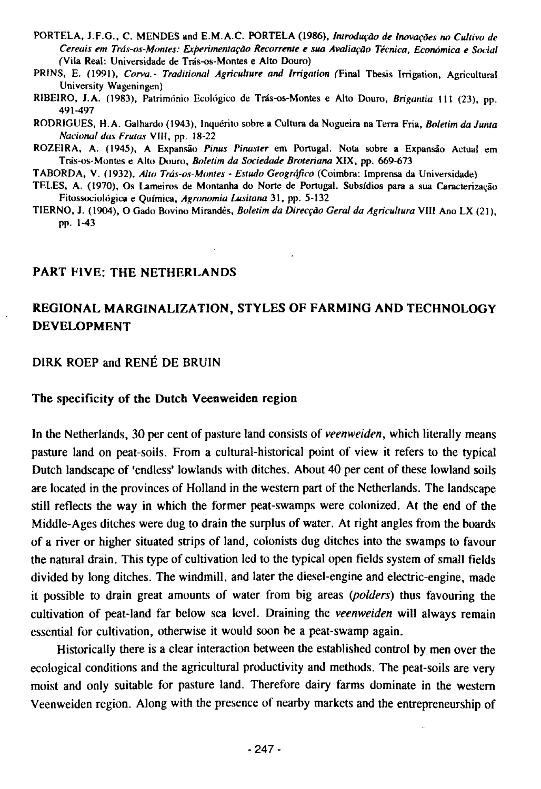- PORTELA, J.F.G., C. MENDES and E.M.A.C. PORTELA (1986), *Introdução de Inovações no Cultivo de Cereais em Trâs-os-Montes: Experimentaçào Recorreme e sua Avaliaçào Técnica, Económica e Social*  (Vila Real: Universidade de Trâs-os-Montes e Alto Douro)
- PRINS, E. (1991), *Corva.- Traditional Agriculture and Irrigation* (Final Thesis Irrigation, Agricultural University Wageningen)
- R1BE1RO, J. A. (1983), Património Ecológieo de Trâs-os-Montes e Alto Douro, *Brigantia* 111 (23), pp. 491-497
- RODR1GUES, H.A. Galhardo (1943), Inquérito sobre a Cultura da Nogueira na Terra Fria, *Boletim da Junta National das Frutas* VIII, pp. 18-22
- ROZEIRA, A. (1945), A Expansâo *Pinus Pinaster* em Portugal. Nota sobre a Expansâo Actual em Trâs-os-Montes e Alto Douro, *Boletim da Sociedade Broteriana* XIX, pp. 669-673

TABORDA, V. (1932), *Alto Trâs-os-Montes - Estudo Geogrâfico* (Coimbra: Imprensa da Universidade)

- TELES, A. (1970), Os Lameiros de Montanha do Norte de Portugal. Subsidios para a sua Caracterizaçâo Fitossociológica e Química, *Agronomia Lusitana* 31, pp. 5-132
- TIERNO, J. (1904), O Gado Bovino Mirandês, *Boletim da Direcçào Gérai da Agricultura* VIII Ano LX (21), pp. 1-43

#### **PART FIVE: THE NETHERLANDS**

# **REGIONAL MARGINALIZATION, STYLES OF FARMING AND TECHNOLOGY DEVELOPMENT**

### DIRK ROEP and RENÉ DE BRUIN

#### **The specificity of the Dutch Veenweiden region**

In the Netherlands, 30 per cent of pasture land consists of *veenweiden,* which literally means pasture land on peat-soils. From a cultural-historical point of view it refers to the typical Dutch landscape of 'endless' lowlands with ditches. About 40 per cent of these lowland soils are located in the provinces of Holland in the western part of the Netherlands. The landscape still reflects the way in which the former peat-swamps were colonized. At the end of the Middle-Ages ditches were dug to drain the surplus of water. At right angles from the boards of a river or higher situated strips of land, colonists dug ditches into the swamps to favour the natural drain. This type of cultivation led to the typical open fields system of small fields divided by long ditches. The windmill, and later the diesel-engine and electric-engine, made it possible to drain great amounts of water from big areas *(polders)* thus favouring the cultivation of peat-land far below sea level. Draining the *veenweiden* will always remain essential for cultivation, otherwise it would soon be a peat-swamp again.

Historically there is a clear interaction between the established control by men over the ecological conditions and the agricultural productivity and methods. The peat-soils are very moist and only suitable for pasture land. Therefore dairy farms dominate in the western Veenweiden region. Along with the presence of nearby markets and the entrepreneurship of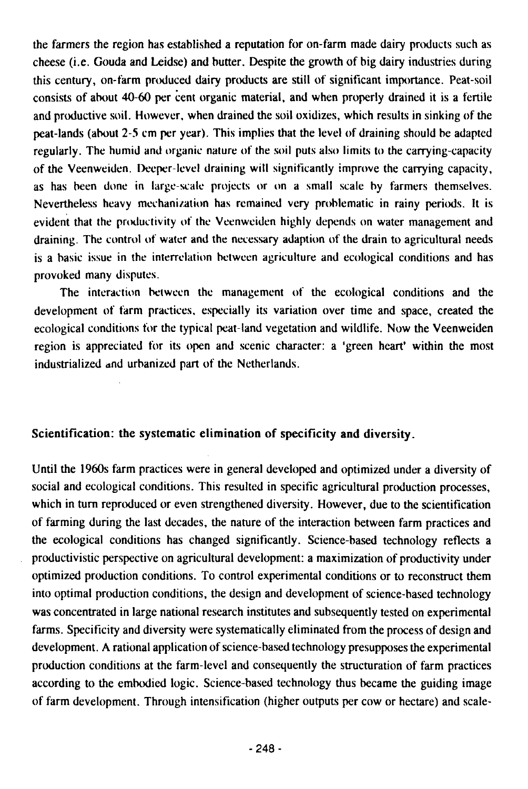the farmers the region has established a reputation for on-farm made dairy products such as cheese (i.e. Gouda and Leidse) and butter. Despite the growth of big dairy industries during this century, on-farm produced dairy products are still of significant importance. Peat-soil consists of about 40-60 per cent organic material, and when properly drained it is a fertile and productive soil. However, when drained the soil oxidizes, which results in sinking of the peat-lands (about 2-5 cm per year). This implies that the level of draining should be adapted regularly. The humid and organic nature of the soil puts also limits to the carrying-capacity of the Veenweiden. Deeper-level draining will significantly improve the carrying capacity, as has been done in large-scale projects or on a small scale by farmers themselves. Nevertheless heavy mechanization has remained very problematic in rainy periods. It is evident that the productivity of the Veenweiden highly depends on water management and draining. The control of water and the necessary adaption of the drain to agricultural needs is a basic issue in the interrelation between agriculture and ecological conditions and has provoked many disputes.

The interaction between the management of the ecological conditions and the development of farm practices, especially its variation over time and space, created the ecological conditions for the typical peat-land vegetation and wildlife. Now the Veenweiden region is appreciated for its open and scenic character: a 'green heart' within the most industrialized and urbanized part of the Netherlands.

# **Scientification: the systematic elimination of specificity and diversity.**

Until the 1960s farm practices were in general developed and optimized under a diversity of social and ecological conditions. This resulted in specific agricultural production processes, which in turn reproduced or even strengthened diversity. However, due to the scientification of farming during the last decades, the nature of the interaction between farm practices and the ecological conditions has changed significantly. Science-based technology reflects a productivistic perspective on agricultural development: a maximization of productivity under optimized production conditions. To control experimental conditions or to reconstruct them into optimal production conditions, the design and development of science-based technology was concentrated in large national research institutes and subsequently tested on experimental farms. Specificity and diversity were systematically eliminated from the process of design and development. A rational application of science-based technology presupposes the experimental production conditions at the farm-level and consequently the structuration of farm practices according to the embodied logic. Science-based technology thus became the guiding image of farm development. Through intensification (higher outputs per cow or hectare) and scale-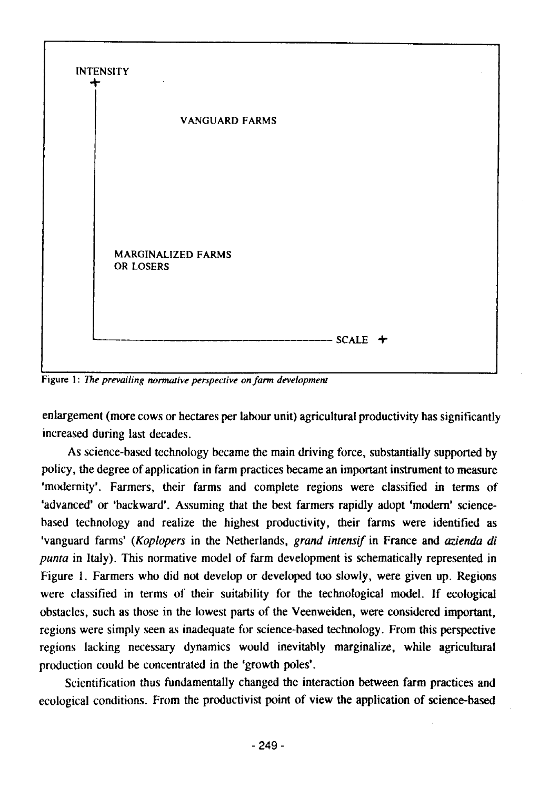

Figure 1: *The prevailing normative perspective on farm development* 

enlargement (more cows or hectares per labour unit) agricultural productivity has significantly increased during last decades.

As science-based technology became the main driving force, substantially supported by policy, the degree of application in farm practices became an important instrument to measure 'modernity'. Farmers, their farms and complete regions were classified in terms of 'advanced' or 'backward'. Assuming that the best farmers rapidly adopt 'modern' sciencebased technology and realize the highest productivity, their farms were identified as 'vanguard farms' (*Koplopers* in the Netherlands, *grand intensif* in France and *azienda di punta* in Italy). This normative model of farm development is schematically represented in Figure 1. Farmers who did not develop or developed too slowly, were given up. Regions were classified in terms of their suitability for the technological model. If ecological obstacles, such as those in the lowest parts of the Veenweiden, were considered important, regions were simply seen as inadequate for science-based technology. From this perspective regions lacking necessary dynamics would inevitably marginalize, while agricultural production could be concentrated in the 'growth poles'.

Scientification thus fundamentally changed the interaction between farm practices and ecological conditions. From the productivist point of view the application of science-based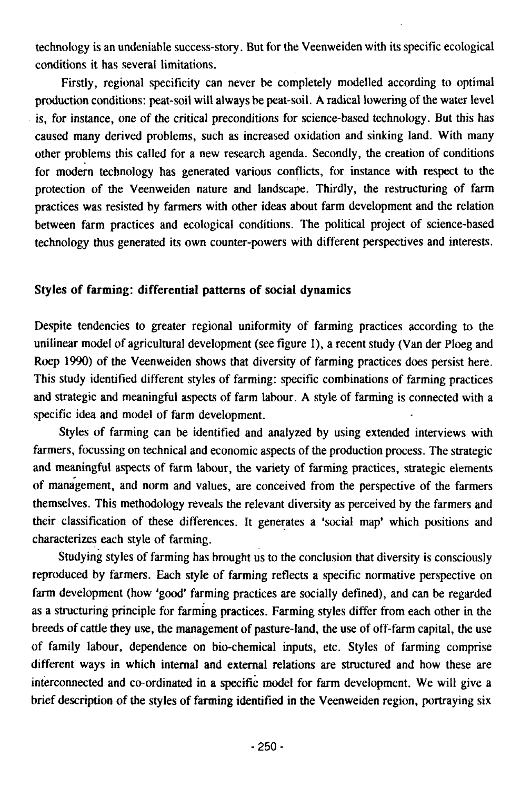technology is an undeniable success-story. But for the Veenweiden with its specific ecological conditions it has several limitations.

Firstly, regional specificity can never be completely modelled according to optimal production conditions: peat-soil will always be peat-soil. A radical lowering of the water level is, for instance, one of the critical preconditions for science-based technology. But this has caused many derived problems, such as increased oxidation and sinking land. With many other problems this called for a new research agenda. Secondly, the creation of conditions for modern technology has generated various conflicts, for instance with respect to the protection of the Veenweiden nature and landscape. Thirdly, the restructuring of farm practices was resisted by farmers with other ideas about farm development and the relation between farm practices and ecological conditions. The political project of science-based technology thus generated its own counter-powers with different perspectives and interests.

## **Styles of farming: differential patterns of social dynamics**

Despite tendencies to greater regional uniformity of farming practices according to the unilinear model of agricultural development (see figure 1), a recent study (Van der Ploeg and Roep 1990) of the Veenweiden shows that diversity of farming practices does persist here. This study identified different styles of farming: specific combinations of farming practices and strategic and meaningful aspects of farm labour. A style of farming is connected with a specific idea and model of farm development.

Styles of farming can be identified and analyzed by using extended interviews with farmers, focussing on technical and economic aspects of the production process. The strategic and meaningful aspects of farm labour, the variety of farming practices, strategic elements of management, and norm and values, are conceived from the perspective of the farmers themselves. This methodology reveals the relevant diversity as perceived by the farmers and their classification of these differences. It generates a 'social map' which positions and characterizes each style of farming.

Studying styles of farming has brought us to the conclusion that diversity is consciously reproduced by farmers. Each style of farming reflects a specific normative perspective on farm development (how 'good' farming practices are socially defined), and can be regarded as a structuring principle for farming practices. Farming styles differ from each other in the breeds of cattle they use, the management of pasture-land, the use of off-farm capital, the use of family labour, dependence on bio-chemical inputs, etc. Styles of farming comprise different ways in which internal and external relations are structured and how these are interconnected and co-ordinated in a specific model for farm development. We will give a brief description of the styles of fanning identified in the Veenweiden region, portraying six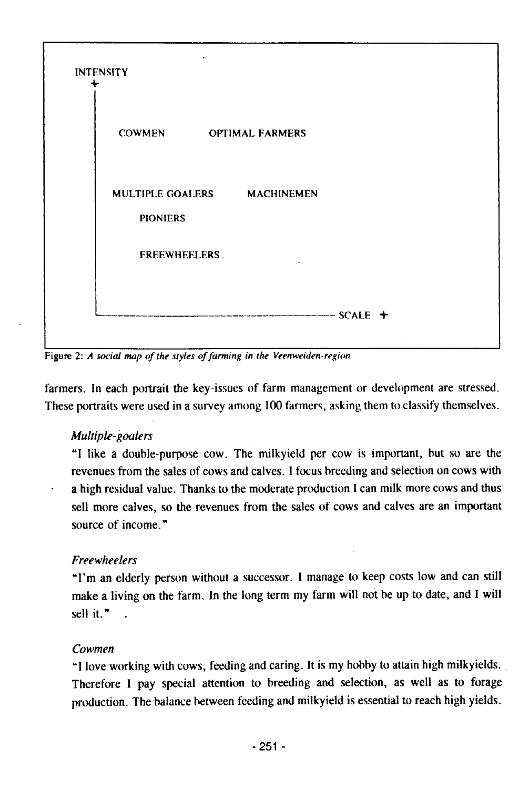

Figure 2: *A social map of the styles of farming in the Veenweiden-region* 

farmers. In each portrait the key-issues of farm management or development are stressed. These portraits were used in a survey among 100 farmers, asking them to classify themselves.

# *Multiple-goalers*

"I like a double-purpose cow. The milkyield per cow is important, hut so are the revenues from the sales of cows and calves. I focus breeding and selection on cows with a high residual value. Thanks to the moderate production 1 can milk more cows and thus sell more calves, so the revenues from the sales of cows and calves are an important source of income."

# *Freewheelen*

"I'm an elderly person without a successor. I manage to keep costs low and can still make a living on the farm. In the long term my farm will not be up to date, and I will sell it.".

# *Cowmen*

"I love working with cows, feeding and caring. It is my hobby to attain high milkyields. Therefore I pay special attention to breeding and selection, as well as to forage production. The balance between feeding and milkyield is essential to reach high yields.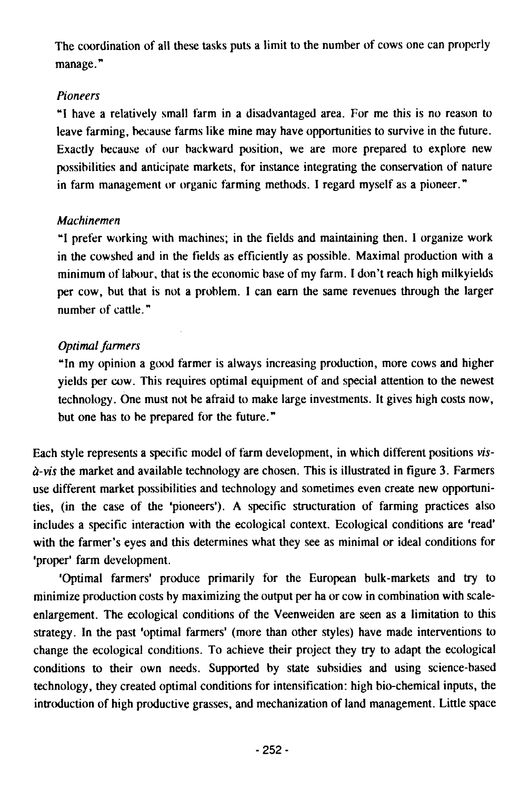The coordination of all these tasks puts a limit to the number of cows one can properly manage."

# *Pioneers*

"1 have a relatively small farm in a disadvantaged area. For me this is no reason to leave farming, because farms like mine may have opportunities to survive in the future. Exactly because of our backward position, we are more prepared to explore new possibilities and anticipate markets, for instance integrating the conservation of nature in farm management or organic farming methods. I regard myself as a pioneer."

# *Machinemen*

"1 prefer working with machines; in the fields and maintaining then. I organize work in the cowshed and in the fields as efficiently as possible. Maximal production with a minimum of labour, that is the economic base of my farm. I don't reach high milkyields per cow, but that is not a problem. 1 can earn the same revenues through the larger number of cattle."

# *Optimal farmers*

"In my opinion a good farmer is always increasing production, more cows and higher yields per cow. This requires optimal equipment of and special attention to the newest technology. One must not be afraid to make large investments. It gives high costs now, but one has to be prepared for the future."

Each style represents a specific model of farm development, in which different positions *visà-vis* the market and available technology are chosen. This is illustrated in figure 3. Farmers use different market possibilities and technology and sometimes even create new opportunities, (in the case of the 'pioneers'). A specific structuration of farming practices also includes a specific interaction with the ecological context. Ecological conditions are 'read' with the farmer's eyes and this determines what they see as minimal or ideal conditions for 'proper' farm development.

'Optimal farmers' produce primarily for the European bulk-markets and try to minimize production costs by maximizing the output per ha or cow in combination with scaleenlargement. The ecological conditions of the Veenweiden are seen as a limitation to this strategy. In the past 'optimal farmers' (more than other styles) have made interventions to change the ecological conditions. To achieve their project they try to adapt the ecological conditions to their own needs. Supported by state subsidies and using science-based technology, they created optimal conditions for intensification: high bio-chemical inputs, the introduction of high productive grasses, and mechanization of land management. Little space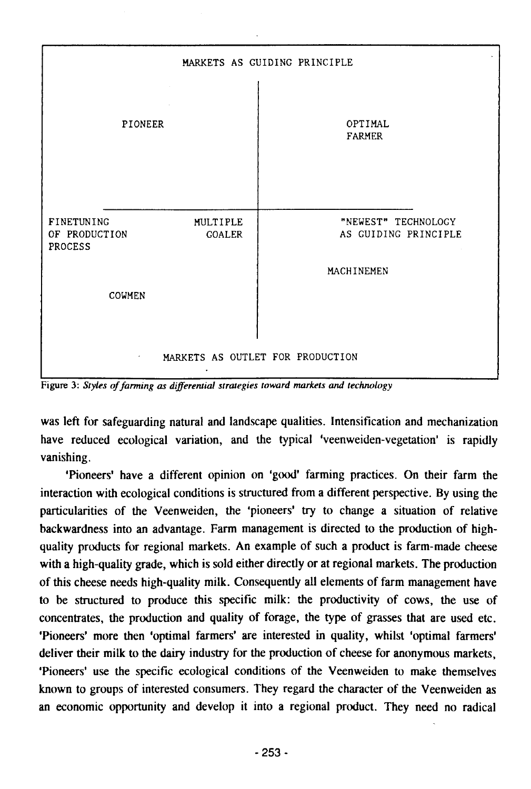

Figure 3: *Styles of farming as differential strategies toward markets and technology* 

was left for safeguarding natural and landscape qualities. Intensification and mechanization have reduced ecological variation, and the typical 'veenweiden-vegetation' is rapidly vanishing.

'Pioneers' have a different opinion on 'good' farming practices. On their farm the interaction with ecological conditions is structured from a different perspective. By using the particularities of the Veenweiden, the 'pioneers' try to change a situation of relative backwardness into an advantage. Farm management is directed to the production of highquality products for regional markets. An example of such a product is farm-made cheese with a high-quality grade, which is sold either directly or at regional markets. The production of this cheese needs high-quality milk. Consequently all elements of farm management have to be structured to produce this specific milk: the productivity of cows, the use of concentrates, the production and quality of forage, the type of grasses that are used etc. 'Pioneers' more then 'optimal farmers' are interested in quality, whilst 'optimal farmers' deliver their milk to the dairy industry for the production of cheese for anonymous markets, 'Pioneers' use the specific ecological conditions of the Veenweiden to make themselves known to groups of interested consumers. They regard the character of the Veenweiden as an economic opportunity and develop it into a regional product. They need no radical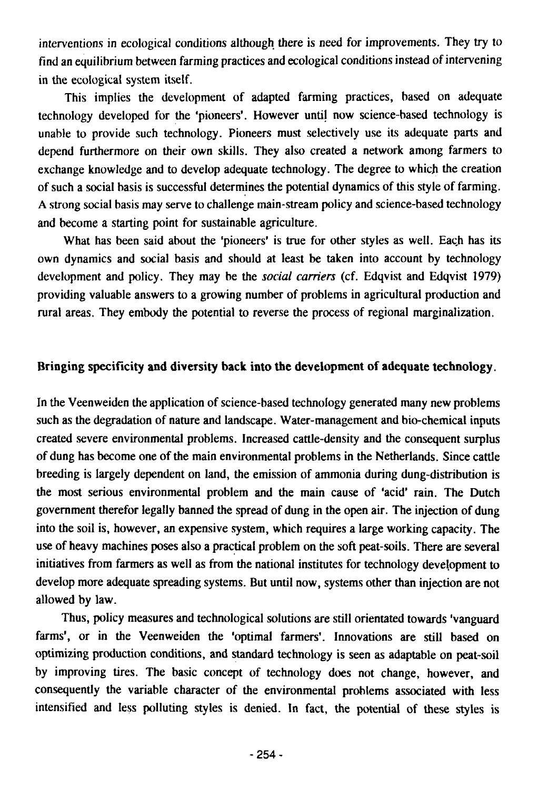interventions in ecological conditions although there is need for improvements. They try to find an equilibrium between farming practices and ecological conditions instead of intervening in the ecological system itself.

This implies the development of adapted farming practices, based on adequate technology developed for the 'pioneers'. However until now science-based technology is unable to provide such technology. Pioneers must selectively use its adequate parts and depend furthermore on their own skills. They also created a network among farmers to exchange knowledge and to develop adequate technology. The degree to which the creation of such a social basis is successful determines the potential dynamics of this style of farming. A strong social basis may serve to challenge main-stream policy and science-based technology and become a starting point for sustainable agriculture.

What has been said about the 'pioneers' is true for other styles as well. Each has its own dynamics and social basis and should at least be taken into account by technology development and policy. They may be the *social carriers* (cf. Edqvist and Edqvist 1979) providing valuable answers to a growing number of problems in agricultural production and rural areas. They embody the potential to reverse the process of regional marginalization.

## **Bringing specificity and diversity back into the development of adequate technology.**

In the Veenweiden the application of science-based technology generated many new problems such as the degradation of nature and landscape. Water-management and bio-chemical inputs created severe environmental problems. Increased cattle-density and the consequent surplus of dung has become one of the main environmental problems in the Netherlands. Since cattle breeding is largely dependent on land, the emission of ammonia during dung-distribution is the most serious environmental problem and the main cause of 'acid' rain. The Dutch government therefor legally banned the spread of dung in the open air. The injection of dung into the soil is, however, an expensive system, which requires a large working capacity. The use of heavy machines poses also a practical problem on the soft peat-soils. There are several initiatives from fanners as well as from the national institutes for technology development to develop more adequate spreading systems. But until now, systems other than injection are not allowed by law.

Thus, policy measures and technological solutions are still orientated towards 'vanguard farms', or in the Veenweiden the 'optimal farmers'. Innovations are still based on optimizing production conditions, and standard technology is seen as adaptable on peat-soil by improving tires. The basic concept of technology does not change, however, and consequently the variable character of the environmental problems associated with less intensified and less polluting styles is denied. In fact, the potential of these styles is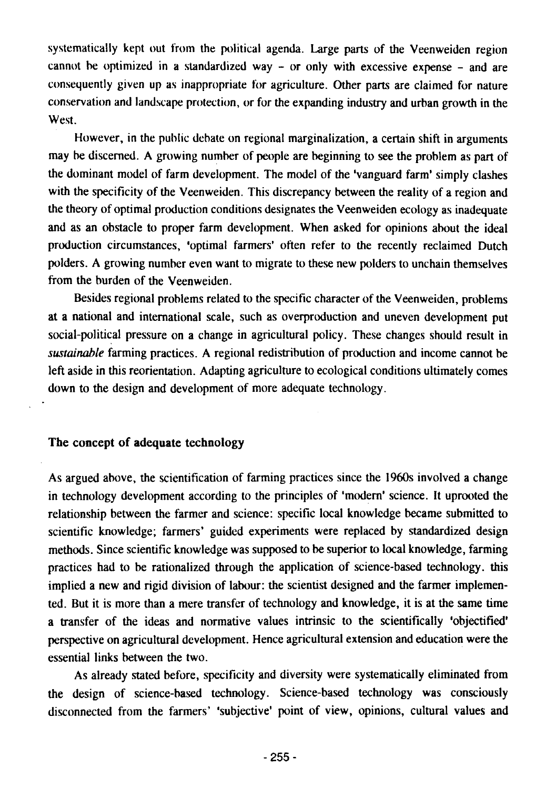systematically kept out from the political agenda. Large parts of the Veenweiden region cannot he optimized in a standardized way - or only with excessive expense - and are consequently given up as inappropriate for agriculture. Other parts are claimed for nature conservation and landscape protection, or for the expanding industry and urban growth in the West.

However, in the public debate on regional marginalization, a certain shift in arguments may be discerned. A growing number of people are beginning to see the problem as part of the dominant model of farm development. The model of the 'vanguard farm' simply clashes with the specificity of the Veenweiden. This discrepancy between the reality of a region and the theory of optimal production conditions designates the Veenweiden ecology as inadequate and as an obstacle to proper farm development. When asked for opinions about the ideal production circumstances, 'optimal farmers' often refer to the recently reclaimed Dutch polders. A growing number even want to migrate to these new polders to unchain themselves from the burden of the Veenweiden.

Besides regional problems related to the specific character of the Veenweiden, problems at a national and international scale, such as overproduction and uneven development put social-political pressure on a change in agricultural policy. These changes should result in *sustainable* farming practices. A regional redistribution of production and income cannot be left aside in this reorientation. Adapting agriculture to ecological conditions ultimately comes down to the design and development of more adequate technology.

#### **The concept of adequate technology**

As argued above, the scientification of farming practices since the 1960s involved a change in technology development according to the principles of 'modern' science. It uprooted the relationship between the farmer and science: specific local knowledge became submitted to scientific knowledge; farmers' guided experiments were replaced by standardized design methods. Since scientific knowledge was supposed to be superior to local knowledge, farming practices had to be rationalized through the application of science-based technology, this implied a new and rigid division of labour: the scientist designed and the farmer implemented. But it is more than a mere transfer of technology and knowledge, it is at the same time a transfer of the ideas and normative values intrinsic to the scientifically 'objectified' perspective on agricultural development. Hence agricultural extension and education were the essential links between the two.

As already stated before, specificity and diversity were systematically eliminated from the design of science-based technology. Science-based technology was consciously disconnected from the farmers' 'subjective' point of view, opinions, cultural values and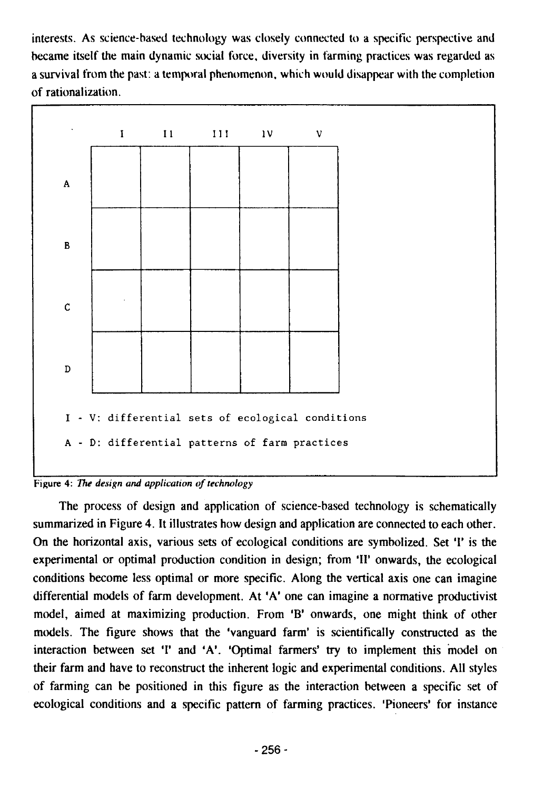interests. As science-based technology was closely connected to a specific perspective and became itself the main dynamic social force, diversity in farming practices was regarded as a survival from the past: a temporal phenomenon, which would disappear with the completion of rationalization.



Figure 4: *The design and application of technology* 

The process of design and application of science-based technology is schematically summarized in Figure 4. It illustrates how design and application are connected to each other. On the horizontal axis, various sets of ecological conditions are symbolized. Set '1' is the experimental or optimal production condition in design; from '11' onwards, the ecological conditions become less optimal or more specific. Along the vertical axis one can imagine differential models of farm development. At 'A' one can imagine a normative productivist model, aimed at maximizing production. From 'B' onwards, one might think of other models. The figure shows that the 'vanguard farm' is scientifically constructed as the interaction between set 'I' and 'A'. 'Optimal farmers' try to implement this model on their farm and have to reconstruct the inherent logic and experimental conditions. All styles of farming can be positioned in this figure as the interaction between a specific set of ecological conditions and a specific pattern of farming practices. 'Pioneers' for instance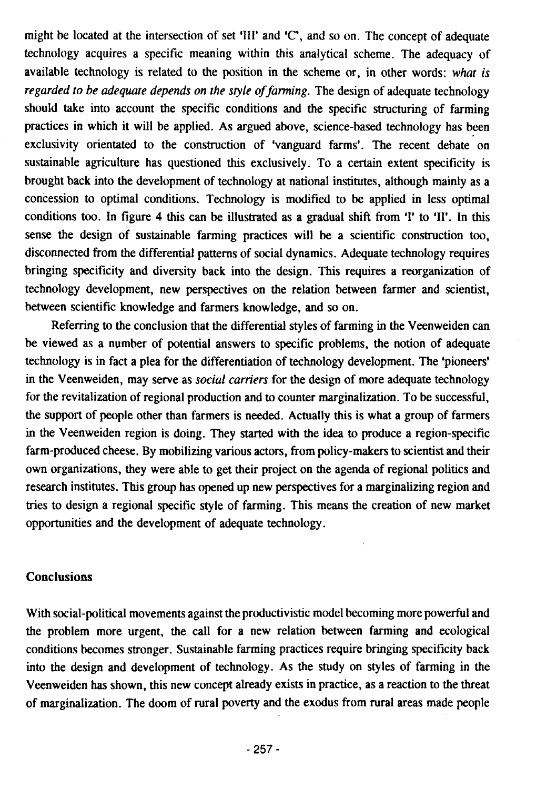might be located at the intersection of set 'III' and 'C', and so on. The concept of adequate technology acquires a specific meaning within this analytical scheme. The adequacy of available technology is related to the position in the scheme or, in other words: *what is regarded to be adequate depends on the style of farming.* The design of adequate technology should take into account the specific conditions and the specific structuring of farming practices in which it will be applied. As argued above, science-based technology has been exclusivity orientated to the construction of 'vanguard farms'. The recent debate on sustainable agriculture has questioned this exclusively. To a certain extent specificity is brought back into the development of technology at national institutes, although mainly as a concession to optimal conditions. Technology is modified to be applied in less optimal conditions too. In figure 4 this can be illustrated as a gradual shift from 'I' to 'II'. In this sense the design of sustainable farming practices will be a scientific construction too, disconnected from the differential patterns of social dynamics. Adequate technology requires bringing specificity and diversity back into the design. This requires a reorganization of technology development, new perspectives on the relation between farmer and scientist, between scientific knowledge and farmers knowledge, and so on.

Referring to the conclusion that the differential styles of fanning in the Veenweiden can be viewed as a number of potential answers to specific problems, the notion of adequate technology is in fact a plea for the differentiation of technology development. The 'pioneers' in the Veenweiden, may serve as *social carriers* for the design of more adequate technology for the revitalization of regional production and to counter marginalization. To be successful, the support of people other than farmers is needed. Actually this is what a group of farmers in the Veenweiden region is doing. They started with the idea to produce a region-specific farm-produced cheese. By mobilizing various actors, from policy-makers to scientist and their own organizations, they were able to get their project on the agenda of regional politics and research institutes. This group has opened up new perspectives for a marginalizing region and tries to design a regional specific style of farming. This means the creation of new market opportunities and the development of adequate technology.

# **Conclusions**

With social-political movements against the productivistic model becoming more powerful and the problem more urgent, the call for a new relation between farming and ecological conditions becomes stronger. Sustainable fanning practices require bringing specificity back into the design and development of technology. As the study on styles of farming in the Veenweiden has shown, this new concept already exists in practice, as a reaction to the threat of marginalization. The doom of rural poverty and the exodus from rural areas made people